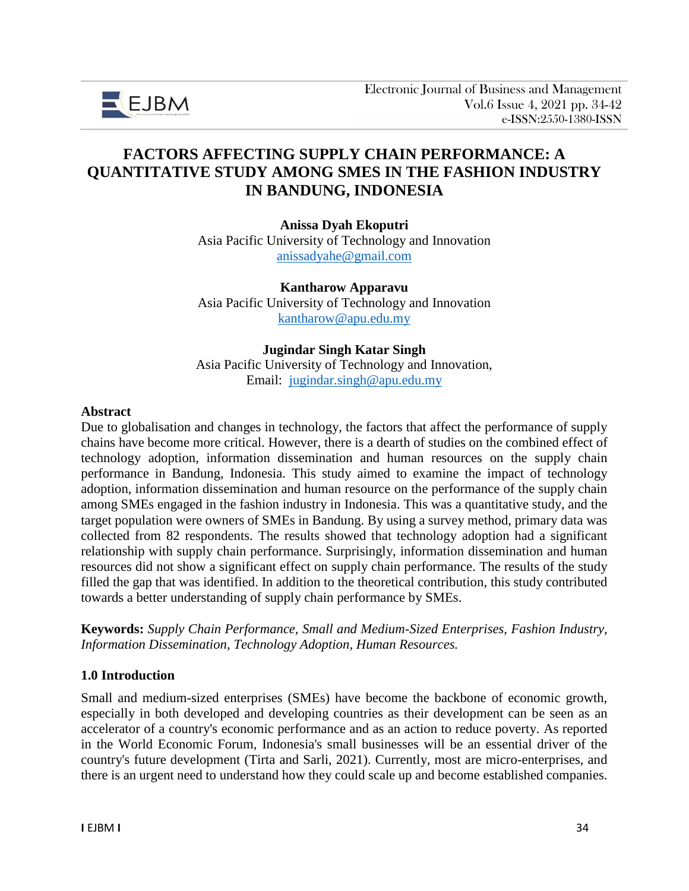

# **FACTORS AFFECTING SUPPLY CHAIN PERFORMANCE: A QUANTITATIVE STUDY AMONG SMES IN THE FASHION INDUSTRY IN BANDUNG, INDONESIA**

**Anissa Dyah Ekoputri** Asia Pacific University of Technology and Innovation [anissadyahe@gmail.com](mailto:anissadyahe@gmail.com)

**Kantharow Apparavu** Asia Pacific University of Technology and Innovation [kantharow@apu.edu.my](mailto:kantharow@apu.edu.my)

#### **Jugindar Singh Katar Singh**

Asia Pacific University of Technology and Innovation, Email: [jugindar.singh@apu.edu.my](mailto:jugindar.singh@apu.edu.my)

#### **Abstract**

Due to globalisation and changes in technology, the factors that affect the performance of supply chains have become more critical. However, there is a dearth of studies on the combined effect of technology adoption, information dissemination and human resources on the supply chain performance in Bandung, Indonesia. This study aimed to examine the impact of technology adoption, information dissemination and human resource on the performance of the supply chain among SMEs engaged in the fashion industry in Indonesia. This was a quantitative study, and the target population were owners of SMEs in Bandung. By using a survey method, primary data was collected from 82 respondents. The results showed that technology adoption had a significant relationship with supply chain performance. Surprisingly, information dissemination and human resources did not show a significant effect on supply chain performance. The results of the study filled the gap that was identified. In addition to the theoretical contribution, this study contributed towards a better understanding of supply chain performance by SMEs.

**Keywords:** *Supply Chain Performance, Small and Medium-Sized Enterprises, Fashion Industry, Information Dissemination, Technology Adoption, Human Resources.*

#### **1.0 Introduction**

Small and medium-sized enterprises (SMEs) have become the backbone of economic growth, especially in both developed and developing countries as their development can be seen as an accelerator of a country's economic performance and as an action to reduce poverty. As reported in the World Economic Forum, Indonesia's small businesses will be an essential driver of the country's future development (Tirta and Sarli, 2021). Currently, most are micro-enterprises, and there is an urgent need to understand how they could scale up and become established companies.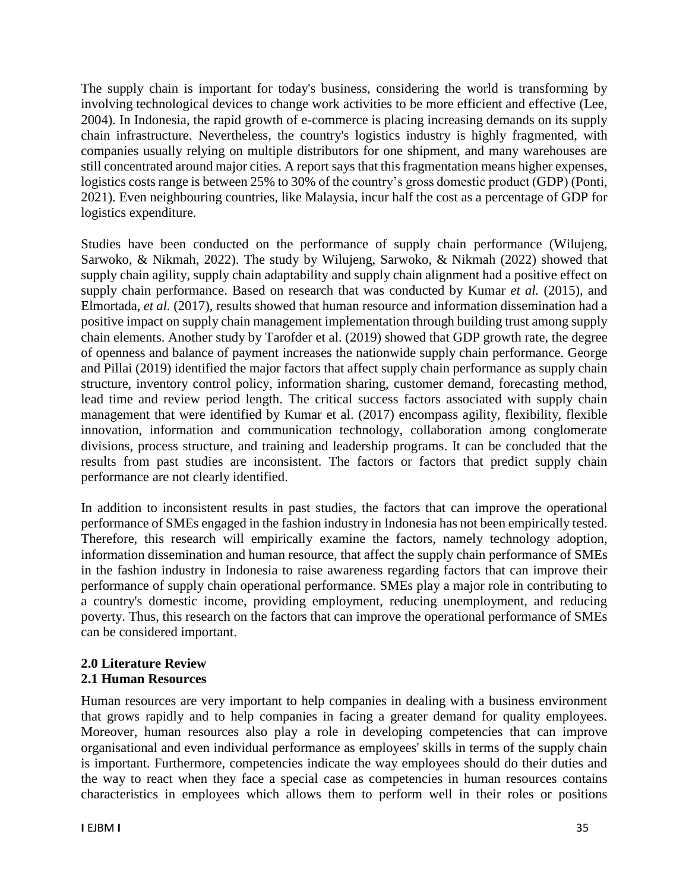The supply chain is important for today's business, considering the world is transforming by involving technological devices to change work activities to be more efficient and effective (Lee, 2004). In Indonesia, the rapid growth of e-commerce is placing increasing demands on its supply chain infrastructure. Nevertheless, the country's logistics industry is highly fragmented, with companies usually relying on multiple distributors for one shipment, and many warehouses are still concentrated around major cities. A report says that this fragmentation means higher expenses, logistics costs range is between 25% to 30% of the country's gross domestic product (GDP) (Ponti, 2021). Even neighbouring countries, like Malaysia, incur half the cost as a percentage of GDP for logistics expenditure.

Studies have been conducted on the performance of supply chain performance (Wilujeng, Sarwoko, & Nikmah, 2022). The study by Wilujeng, Sarwoko, & Nikmah (2022) showed that supply chain agility, supply chain adaptability and supply chain alignment had a positive effect on supply chain performance. Based on research that was conducted by Kumar *et al.* (2015), and Elmortada, *et al.* (2017), results showed that human resource and information dissemination had a positive impact on supply chain management implementation through building trust among supply chain elements. Another study by Tarofder et al. (2019) showed that GDP growth rate, the degree of openness and balance of payment increases the nationwide supply chain performance. George and Pillai (2019) identified the major factors that affect supply chain performance as supply chain structure, inventory control policy, information sharing, customer demand, forecasting method, lead time and review period length. The critical success factors associated with supply chain management that were identified by Kumar et al. (2017) encompass agility, flexibility, flexible innovation, information and communication technology, collaboration among conglomerate divisions, process structure, and training and leadership programs. It can be concluded that the results from past studies are inconsistent. The factors or factors that predict supply chain performance are not clearly identified.

In addition to inconsistent results in past studies, the factors that can improve the operational performance of SMEs engaged in the fashion industry in Indonesia has not been empirically tested. Therefore, this research will empirically examine the factors, namely technology adoption, information dissemination and human resource, that affect the supply chain performance of SMEs in the fashion industry in Indonesia to raise awareness regarding factors that can improve their performance of supply chain operational performance. SMEs play a major role in contributing to a country's domestic income, providing employment, reducing unemployment, and reducing poverty. Thus, this research on the factors that can improve the operational performance of SMEs can be considered important.

### **2.0 Literature Review 2.1 Human Resources**

Human resources are very important to help companies in dealing with a business environment that grows rapidly and to help companies in facing a greater demand for quality employees. Moreover, human resources also play a role in developing competencies that can improve organisational and even individual performance as employees' skills in terms of the supply chain is important. Furthermore, competencies indicate the way employees should do their duties and the way to react when they face a special case as competencies in human resources contains characteristics in employees which allows them to perform well in their roles or positions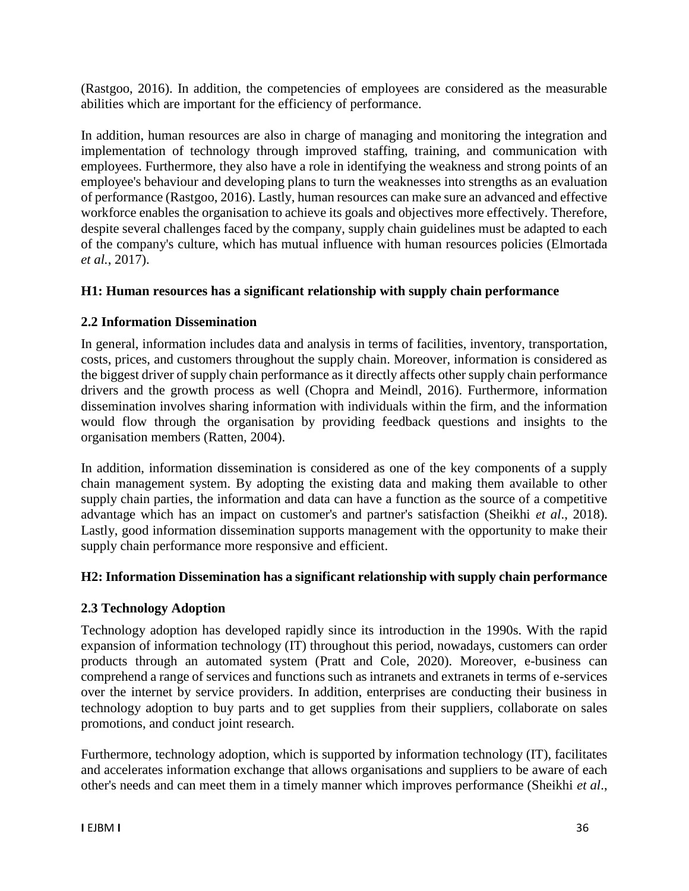(Rastgoo, 2016). In addition, the competencies of employees are considered as the measurable abilities which are important for the efficiency of performance.

In addition, human resources are also in charge of managing and monitoring the integration and implementation of technology through improved staffing, training, and communication with employees. Furthermore, they also have a role in identifying the weakness and strong points of an employee's behaviour and developing plans to turn the weaknesses into strengths as an evaluation of performance (Rastgoo, 2016). Lastly, human resources can make sure an advanced and effective workforce enables the organisation to achieve its goals and objectives more effectively. Therefore, despite several challenges faced by the company, supply chain guidelines must be adapted to each of the company's culture, which has mutual influence with human resources policies (Elmortada *et al.*, 2017).

# **H1: Human resources has a significant relationship with supply chain performance**

# **2.2 Information Dissemination**

In general, information includes data and analysis in terms of facilities, inventory, transportation, costs, prices, and customers throughout the supply chain. Moreover, information is considered as the biggest driver of supply chain performance as it directly affects other supply chain performance drivers and the growth process as well (Chopra and Meindl, 2016). Furthermore, information dissemination involves sharing information with individuals within the firm, and the information would flow through the organisation by providing feedback questions and insights to the organisation members (Ratten, 2004).

In addition, information dissemination is considered as one of the key components of a supply chain management system. By adopting the existing data and making them available to other supply chain parties, the information and data can have a function as the source of a competitive advantage which has an impact on customer's and partner's satisfaction (Sheikhi *et al*., 2018). Lastly, good information dissemination supports management with the opportunity to make their supply chain performance more responsive and efficient.

# **H2: Information Dissemination has a significant relationship with supply chain performance**

# **2.3 Technology Adoption**

Technology adoption has developed rapidly since its introduction in the 1990s. With the rapid expansion of information technology (IT) throughout this period, nowadays, customers can order products through an automated system (Pratt and Cole, 2020). Moreover, e-business can comprehend a range of services and functions such as intranets and extranets in terms of e-services over the internet by service providers. In addition, enterprises are conducting their business in technology adoption to buy parts and to get supplies from their suppliers, collaborate on sales promotions, and conduct joint research.

Furthermore, technology adoption, which is supported by information technology (IT), facilitates and accelerates information exchange that allows organisations and suppliers to be aware of each other's needs and can meet them in a timely manner which improves performance (Sheikhi *et al*.,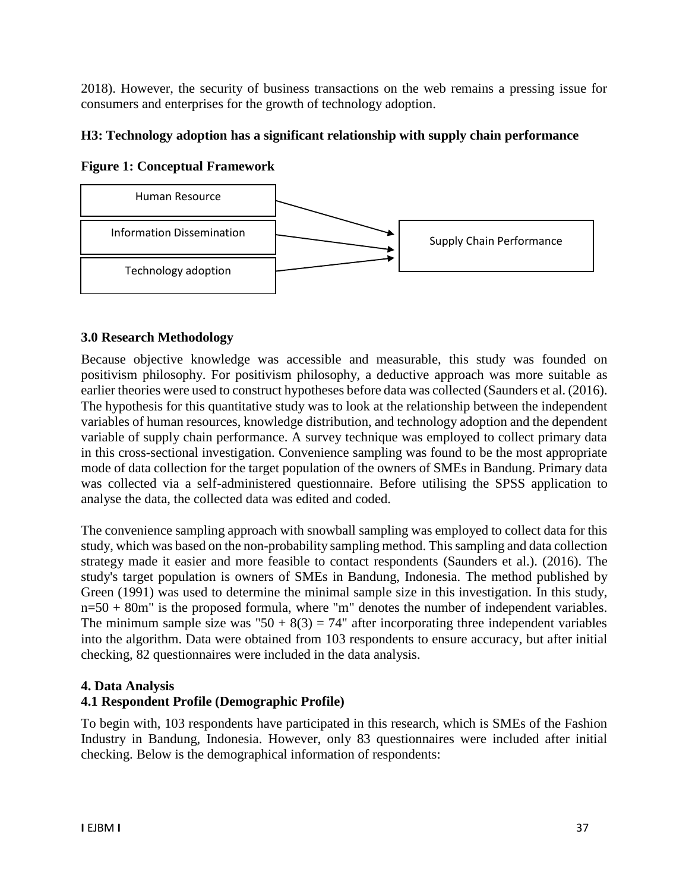2018). However, the security of business transactions on the web remains a pressing issue for consumers and enterprises for the growth of technology adoption.

## **H3: Technology adoption has a significant relationship with supply chain performance**

**Figure 1: Conceptual Framework**



## **3.0 Research Methodology**

Because objective knowledge was accessible and measurable, this study was founded on positivism philosophy. For positivism philosophy, a deductive approach was more suitable as earlier theories were used to construct hypotheses before data was collected (Saunders et al. (2016). The hypothesis for this quantitative study was to look at the relationship between the independent variables of human resources, knowledge distribution, and technology adoption and the dependent variable of supply chain performance. A survey technique was employed to collect primary data in this cross-sectional investigation. Convenience sampling was found to be the most appropriate mode of data collection for the target population of the owners of SMEs in Bandung. Primary data was collected via a self-administered questionnaire. Before utilising the SPSS application to analyse the data, the collected data was edited and coded.

The convenience sampling approach with snowball sampling was employed to collect data for this study, which was based on the non-probability sampling method. This sampling and data collection strategy made it easier and more feasible to contact respondents (Saunders et al.). (2016). The study's target population is owners of SMEs in Bandung, Indonesia. The method published by Green (1991) was used to determine the minimal sample size in this investigation. In this study,  $n=50 + 80$ m" is the proposed formula, where "m" denotes the number of independent variables. The minimum sample size was "50 +  $8(3) = 74$ " after incorporating three independent variables into the algorithm. Data were obtained from 103 respondents to ensure accuracy, but after initial checking, 82 questionnaires were included in the data analysis.

## **4. Data Analysis**

# **4.1 Respondent Profile (Demographic Profile)**

To begin with, 103 respondents have participated in this research, which is SMEs of the Fashion Industry in Bandung, Indonesia. However, only 83 questionnaires were included after initial checking. Below is the demographical information of respondents: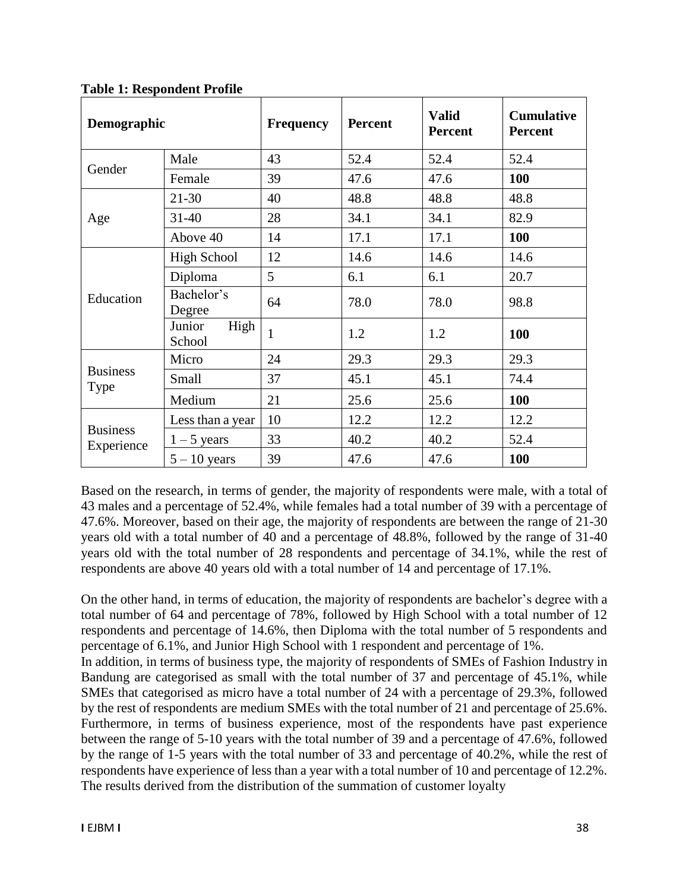| Demographic                   |                          | <b>Frequency</b> | <b>Percent</b> | <b>Valid</b><br><b>Percent</b> | <b>Cumulative</b><br><b>Percent</b> |
|-------------------------------|--------------------------|------------------|----------------|--------------------------------|-------------------------------------|
| Gender                        | Male                     | 43               | 52.4           | 52.4                           | 52.4                                |
|                               | Female                   | 39               | 47.6           | 47.6                           | 100                                 |
| Age                           | $21 - 30$                | 40               | 48.8           | 48.8                           | 48.8                                |
|                               | $31 - 40$                | 28               | 34.1           | 34.1                           | 82.9                                |
|                               | Above 40                 | 14               | 17.1           | 17.1                           | 100                                 |
| Education                     | <b>High School</b>       | 12               | 14.6           | 14.6                           | 14.6                                |
|                               | Diploma                  | 5                | 6.1            | 6.1                            | 20.7                                |
|                               | Bachelor's<br>Degree     | 64               | 78.0           | 78.0                           | 98.8                                |
|                               | High<br>Junior<br>School | $\mathbf{1}$     | 1.2            | 1.2                            | 100                                 |
| <b>Business</b><br>Type       | Micro                    | 24               | 29.3           | 29.3                           | 29.3                                |
|                               | Small                    | 37               | 45.1           | 45.1                           | 74.4                                |
|                               | Medium                   | 21               | 25.6           | 25.6                           | 100                                 |
| <b>Business</b><br>Experience | Less than a year         | 10               | 12.2           | 12.2                           | 12.2                                |
|                               | $1 - 5$ years            | 33               | 40.2           | 40.2                           | 52.4                                |
|                               | $5 - 10$ years           | 39               | 47.6           | 47.6                           | 100                                 |

**Table 1: Respondent Profile**

Based on the research, in terms of gender, the majority of respondents were male, with a total of 43 males and a percentage of 52.4%, while females had a total number of 39 with a percentage of 47.6%. Moreover, based on their age, the majority of respondents are between the range of 21-30 years old with a total number of 40 and a percentage of 48.8%, followed by the range of 31-40 years old with the total number of 28 respondents and percentage of 34.1%, while the rest of respondents are above 40 years old with a total number of 14 and percentage of 17.1%.

On the other hand, in terms of education, the majority of respondents are bachelor's degree with a total number of 64 and percentage of 78%, followed by High School with a total number of 12 respondents and percentage of 14.6%, then Diploma with the total number of 5 respondents and percentage of 6.1%, and Junior High School with 1 respondent and percentage of 1%.

In addition, in terms of business type, the majority of respondents of SMEs of Fashion Industry in Bandung are categorised as small with the total number of 37 and percentage of 45.1%, while SMEs that categorised as micro have a total number of 24 with a percentage of 29.3%, followed by the rest of respondents are medium SMEs with the total number of 21 and percentage of 25.6%. Furthermore, in terms of business experience, most of the respondents have past experience between the range of 5-10 years with the total number of 39 and a percentage of 47.6%, followed by the range of 1-5 years with the total number of 33 and percentage of 40.2%, while the rest of respondents have experience of less than a year with a total number of 10 and percentage of 12.2%. The results derived from the distribution of the summation of customer loyalty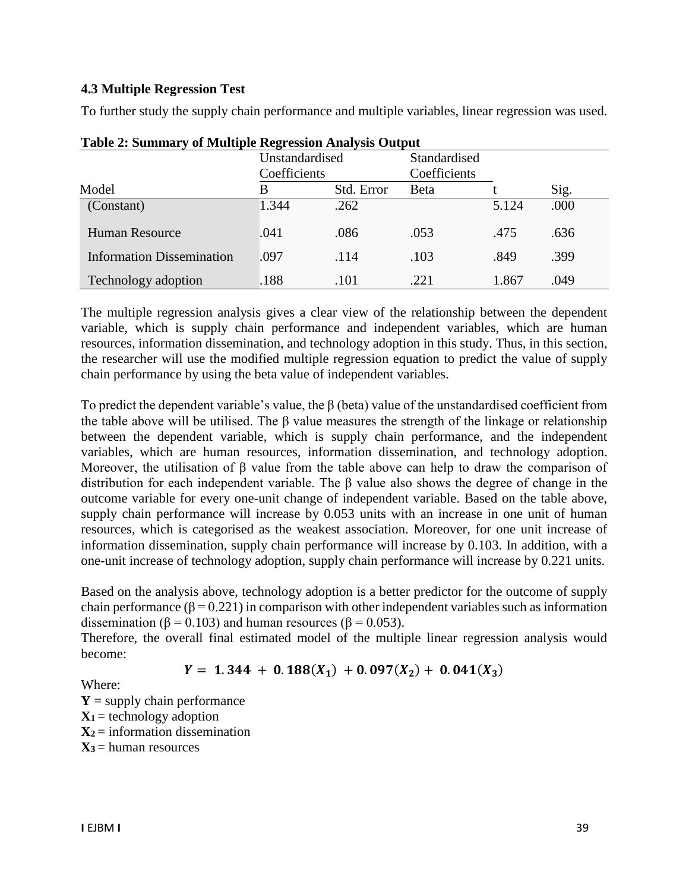### **4.3 Multiple Regression Test**

To further study the supply chain performance and multiple variables, linear regression was used.

|                                  | Unstandardised |              | Standardised |       |      |
|----------------------------------|----------------|--------------|--------------|-------|------|
|                                  |                | Coefficients |              |       |      |
| Model                            | В              | Std. Error   | <b>B</b> eta |       | Sig. |
| (Constant)                       | 1.344          | .262         |              | 5.124 | .000 |
| <b>Human Resource</b>            | .041           | .086         | .053         | .475  | .636 |
| <b>Information Dissemination</b> | .097           | .114         | .103         | .849  | .399 |
| Technology adoption              | .188           | .101         | .221         | 1.867 | .049 |

**Table 2: Summary of Multiple Regression Analysis Output**

The multiple regression analysis gives a clear view of the relationship between the dependent variable, which is supply chain performance and independent variables, which are human resources, information dissemination, and technology adoption in this study. Thus, in this section, the researcher will use the modified multiple regression equation to predict the value of supply chain performance by using the beta value of independent variables.

To predict the dependent variable's value, the  $\beta$  (beta) value of the unstandardised coefficient from the table above will be utilised. The  $\beta$  value measures the strength of the linkage or relationship between the dependent variable, which is supply chain performance, and the independent variables, which are human resources, information dissemination, and technology adoption. Moreover, the utilisation of β value from the table above can help to draw the comparison of distribution for each independent variable. The β value also shows the degree of change in the outcome variable for every one-unit change of independent variable. Based on the table above, supply chain performance will increase by 0.053 units with an increase in one unit of human resources, which is categorised as the weakest association. Moreover, for one unit increase of information dissemination, supply chain performance will increase by 0.103. In addition, with a one-unit increase of technology adoption, supply chain performance will increase by 0.221 units.

Based on the analysis above, technology adoption is a better predictor for the outcome of supply chain performance ( $\beta$  = 0.221) in comparison with other independent variables such as information dissemination ( $\beta$  = 0.103) and human resources ( $\beta$  = 0.053).

Therefore, the overall final estimated model of the multiple linear regression analysis would become:

 $Y = 1.344 + 0.188(X_1) + 0.097(X_2) + 0.041(X_3)$ 

Where:

 $Y =$  supply chain performance  $X_1$  = technology adoption  $X_2$  = information dissemination  $X_3$  = human resources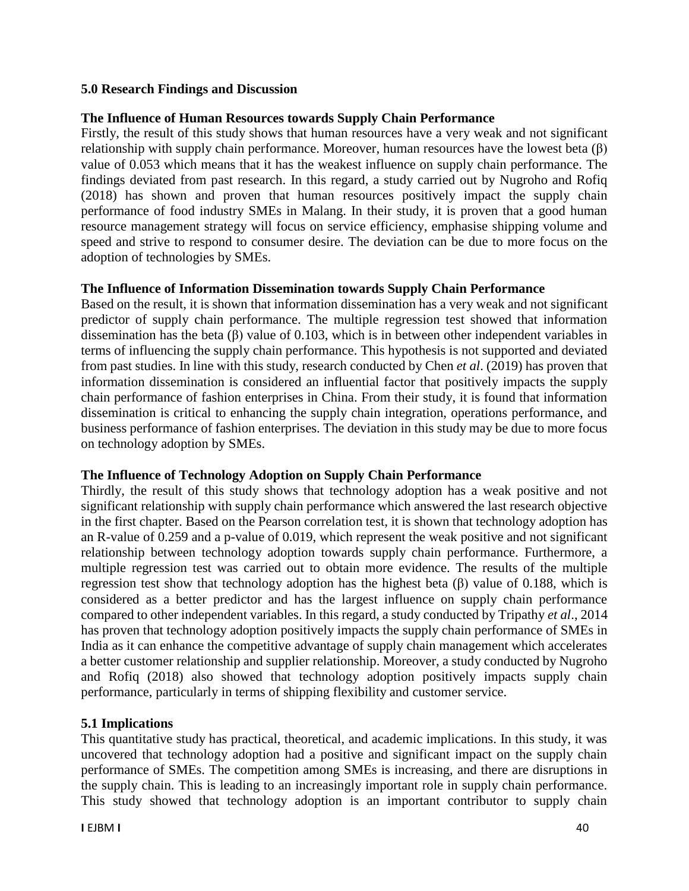### **5.0 Research Findings and Discussion**

### **The Influence of Human Resources towards Supply Chain Performance**

Firstly, the result of this study shows that human resources have a very weak and not significant relationship with supply chain performance. Moreover, human resources have the lowest beta (β) value of 0.053 which means that it has the weakest influence on supply chain performance. The findings deviated from past research. In this regard, a study carried out by Nugroho and Rofiq (2018) has shown and proven that human resources positively impact the supply chain performance of food industry SMEs in Malang. In their study, it is proven that a good human resource management strategy will focus on service efficiency, emphasise shipping volume and speed and strive to respond to consumer desire. The deviation can be due to more focus on the adoption of technologies by SMEs.

### **The Influence of Information Dissemination towards Supply Chain Performance**

Based on the result, it is shown that information dissemination has a very weak and not significant predictor of supply chain performance. The multiple regression test showed that information dissemination has the beta (β) value of 0.103, which is in between other independent variables in terms of influencing the supply chain performance. This hypothesis is not supported and deviated from past studies. In line with this study, research conducted by Chen *et al*. (2019) has proven that information dissemination is considered an influential factor that positively impacts the supply chain performance of fashion enterprises in China. From their study, it is found that information dissemination is critical to enhancing the supply chain integration, operations performance, and business performance of fashion enterprises. The deviation in this study may be due to more focus on technology adoption by SMEs.

### **The Influence of Technology Adoption on Supply Chain Performance**

Thirdly, the result of this study shows that technology adoption has a weak positive and not significant relationship with supply chain performance which answered the last research objective in the first chapter. Based on the Pearson correlation test, it is shown that technology adoption has an R-value of 0.259 and a p-value of 0.019, which represent the weak positive and not significant relationship between technology adoption towards supply chain performance. Furthermore, a multiple regression test was carried out to obtain more evidence. The results of the multiple regression test show that technology adoption has the highest beta (β) value of 0.188, which is considered as a better predictor and has the largest influence on supply chain performance compared to other independent variables. In this regard, a study conducted by Tripathy *et al*., 2014 has proven that technology adoption positively impacts the supply chain performance of SMEs in India as it can enhance the competitive advantage of supply chain management which accelerates a better customer relationship and supplier relationship. Moreover, a study conducted by Nugroho and Rofiq (2018) also showed that technology adoption positively impacts supply chain performance, particularly in terms of shipping flexibility and customer service.

## **5.1 Implications**

This quantitative study has practical, theoretical, and academic implications. In this study, it was uncovered that technology adoption had a positive and significant impact on the supply chain performance of SMEs. The competition among SMEs is increasing, and there are disruptions in the supply chain. This is leading to an increasingly important role in supply chain performance. This study showed that technology adoption is an important contributor to supply chain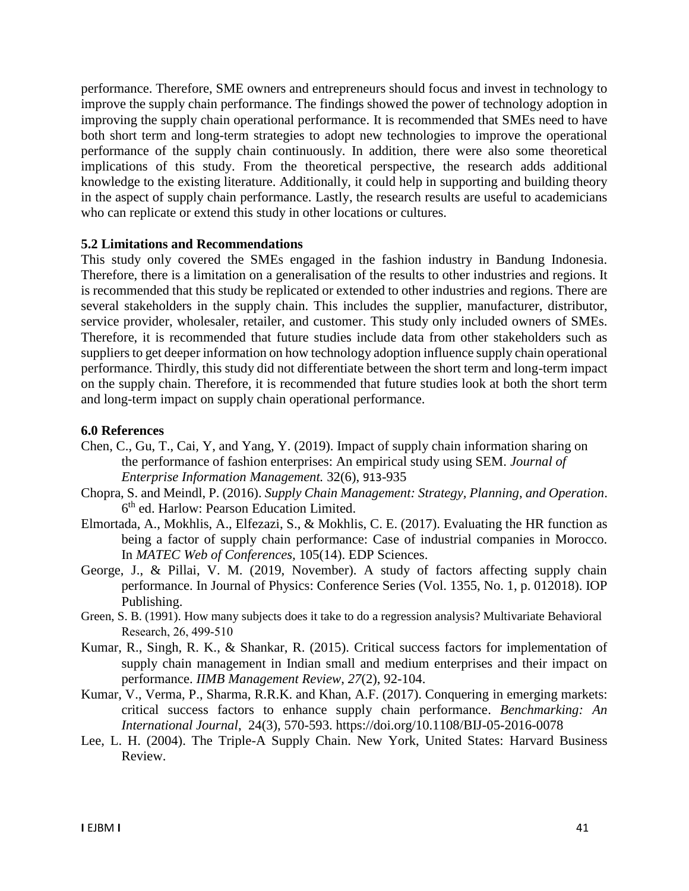performance. Therefore, SME owners and entrepreneurs should focus and invest in technology to improve the supply chain performance. The findings showed the power of technology adoption in improving the supply chain operational performance. It is recommended that SMEs need to have both short term and long-term strategies to adopt new technologies to improve the operational performance of the supply chain continuously. In addition, there were also some theoretical implications of this study. From the theoretical perspective, the research adds additional knowledge to the existing literature. Additionally, it could help in supporting and building theory in the aspect of supply chain performance. Lastly, the research results are useful to academicians who can replicate or extend this study in other locations or cultures.

### **5.2 Limitations and Recommendations**

This study only covered the SMEs engaged in the fashion industry in Bandung Indonesia. Therefore, there is a limitation on a generalisation of the results to other industries and regions. It is recommended that this study be replicated or extended to other industries and regions. There are several stakeholders in the supply chain. This includes the supplier, manufacturer, distributor, service provider, wholesaler, retailer, and customer. This study only included owners of SMEs. Therefore, it is recommended that future studies include data from other stakeholders such as suppliers to get deeper information on how technology adoption influence supply chain operational performance. Thirdly, this study did not differentiate between the short term and long-term impact on the supply chain. Therefore, it is recommended that future studies look at both the short term and long-term impact on supply chain operational performance.

#### **6.0 References**

- Chen, C., Gu, T., Cai, Y, and Yang, Y. (2019). Impact of supply chain information sharing on the performance of fashion enterprises: An empirical study using SEM. *Journal of Enterprise Information Management.* 32(6), 913-935
- Chopra, S. and Meindl, P. (2016). *Supply Chain Management: Strategy, Planning, and Operation*. 6<sup>th</sup> ed. Harlow: Pearson Education Limited.
- Elmortada, A., Mokhlis, A., Elfezazi, S., & Mokhlis, C. E. (2017). Evaluating the HR function as being a factor of supply chain performance: Case of industrial companies in Morocco. In *MATEC Web of Conferences,* 105(14). EDP Sciences.
- George, J., & Pillai, V. M. (2019, November). A study of factors affecting supply chain performance. In Journal of Physics: Conference Series (Vol. 1355, No. 1, p. 012018). IOP Publishing.
- Green, S. B. (1991). How many subjects does it take to do a regression analysis? Multivariate Behavioral Research, 26, 499‐510
- Kumar, R., Singh, R. K., & Shankar, R. (2015). Critical success factors for implementation of supply chain management in Indian small and medium enterprises and their impact on performance. *IIMB Management Review*, *27*(2), 92-104.
- Kumar, V., Verma, P., Sharma, R.R.K. and Khan, A.F. (2017). Conquering in emerging markets: critical success factors to enhance supply chain performance. *Benchmarking: An International Journal*, 24(3), 570-593. https://doi.org/10.1108/BIJ-05-2016-0078
- Lee, L. H. (2004). The Triple-A Supply Chain. New York, United States: Harvard Business Review.